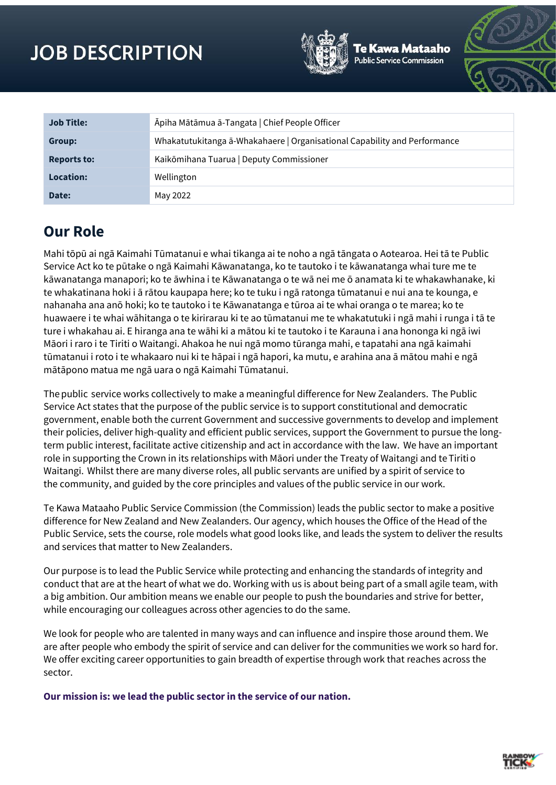# **JOB DESCRIPTION**



Aataaho



| <b>Job Title:</b>  | Āpiha Mātāmua ā-Tangata   Chief People Officer                            |  |
|--------------------|---------------------------------------------------------------------------|--|
| Group:             | Whakatutukitanga ā-Whakahaere   Organisational Capability and Performance |  |
| <b>Reports to:</b> | Kaikōmihana Tuarua   Deputy Commissioner                                  |  |
| Location:          | Wellington                                                                |  |
| Date:              | May 2022                                                                  |  |

# **Our Role**

Mahi tōpū ai ngā Kaimahi Tūmatanui e whai tikanga ai te noho a ngā tāngata o Aotearoa. Hei tā te Public Service Act ko te pūtake o ngā Kaimahi Kāwanatanga, ko te tautoko i te kāwanatanga whai ture me te kāwanatanga manapori; ko te āwhina i te Kāwanatanga o te wā nei me ō anamata ki te whakawhanake, ki te whakatinana hoki i ā rātou kaupapa here; ko te tuku i ngā ratonga tūmatanui e nui ana te kounga, e nahanaha ana anō hoki; ko te tautoko i te Kāwanatanga e tūroa ai te whai oranga o te marea; ko te huawaere i te whai wāhitanga o te kirirarau ki te ao tūmatanui me te whakatutuki i ngā mahi i runga i tā te ture i whakahau ai. E hiranga ana te wāhi ki a mātou ki te tautoko i te Karauna i ana hononga ki ngā iwi Māori i raro i te Tiriti o Waitangi. Ahakoa he nui ngā momo tūranga mahi, e tapatahi ana ngā kaimahi tūmatanui i roto i te whakaaro nui ki te hāpai i ngā hapori, ka mutu, e arahina ana ā mātou mahi e ngā mātāpono matua me ngā uara o ngā Kaimahi Tūmatanui.

The public  service works collectively to make a meaningful difference for New Zealanders.  The Public Service Act states that the purpose of the public service is to support constitutional and democratic government, enable both the current Government and successive governments to develop and implement their policies, deliver high-quality and efficient public services, support the Government to pursue the longterm public interest, facilitate active citizenship and act in accordance with the law.  We have an important role in supporting the Crown in its relationships with Māori under the Treaty of Waitangi and te Tiriti o Waitangi.  Whilst there are many diverse roles, all public servants are unified by a spirit of service to the community, and guided by the core principles and values of the public service in our work.

Te Kawa Mataaho Public Service Commission (the Commission) leads the public sector to make a positive difference for New Zealand and New Zealanders. Our agency, which houses the Office of the Head of the Public Service, sets the course, role models what good looks like, and leads the system to deliver the results and services that matter to New Zealanders.

Our purpose is to lead the Public Service while protecting and enhancing the standards of integrity and conduct that are at the heart of what we do. Working with us is about being part of a small agile team, with a big ambition. Our ambition means we enable our people to push the boundaries and strive for better, while encouraging our colleagues across other agencies to do the same.

We look for people who are talented in many ways and can influence and inspire those around them. We are after people who embody the spirit of service and can deliver for the communities we work so hard for. We offer exciting career opportunities to gain breadth of expertise through work that reaches across the sector.

**Our mission is: we lead the public sector in the service of our nation.** 

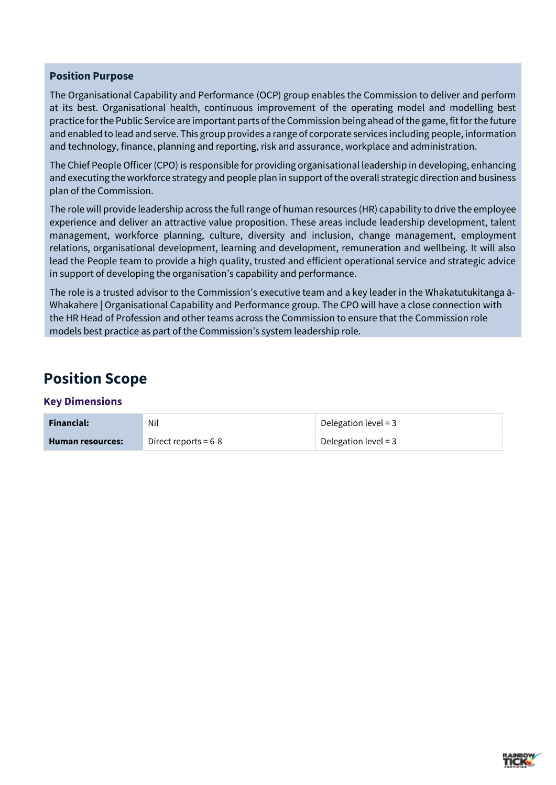### **Position Purpose**

The Organisational Capability and Performance (OCP) group enables the Commission to deliver and perform at its best. Organisational health, continuous improvement of the operating model and modelling best practice for the Public Service are important parts of the Commission being ahead of the game, fit for the future and enabled to lead and serve. This group provides a range of corporate services including people, information and technology, finance, planning and reporting, risk and assurance, workplace and administration.

The Chief People Officer (CPO) is responsible for providing organisational leadership in developing, enhancing and executing the workforce strategy and people plan in support of the overall strategic direction and business plan of the Commission.

The role will provide leadership across the full range of human resources (HR) capability to drive the employee experience and deliver an attractive value proposition. These areas include leadership development, talent management, workforce planning, culture, diversity and inclusion, change management, employment relations, organisational development, learning and development, remuneration and wellbeing. It will also lead the People team to provide a high quality, trusted and efficient operational service and strategic advice in support of developing the organisation's capability and performance.

The role is a trusted advisor to the Commission's executive team and a key leader in the Whakatutukitanga ā-Whakahere | Organisational Capability and Performance group. The CPO will have a close connection with the HR Head of Profession and other teams across the Commission to ensure that the Commission role models best practice as part of the Commission's system leadership role.

# **Position Scope**

### **Key Dimensions**

| <b>Financial:</b> | Nil                    | Delegation level = $3$ |
|-------------------|------------------------|------------------------|
| Human resources:  | Direct reports = $6-8$ | Delegation level = $3$ |

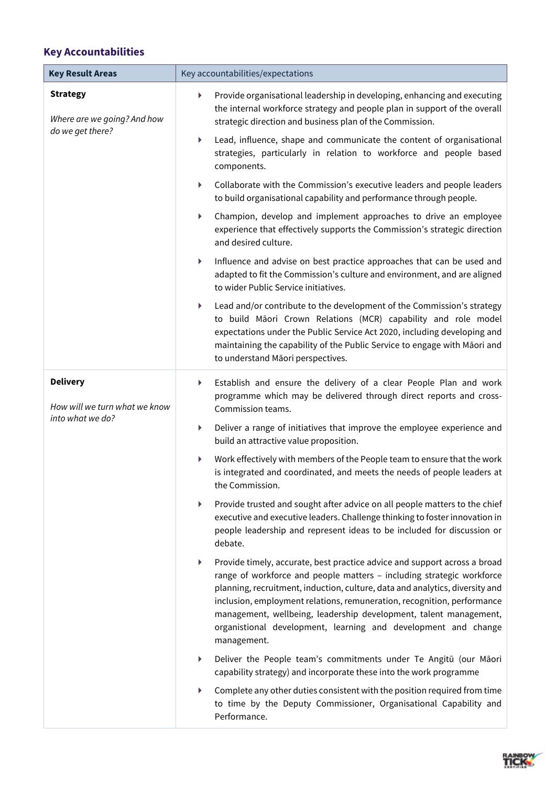# **Key Accountabilities**

| <b>Key Result Areas</b>                                            | Key accountabilities/expectations                                                                                                                                                                                                                                                                                                                                                                                                                                        |  |
|--------------------------------------------------------------------|--------------------------------------------------------------------------------------------------------------------------------------------------------------------------------------------------------------------------------------------------------------------------------------------------------------------------------------------------------------------------------------------------------------------------------------------------------------------------|--|
| <b>Strategy</b><br>Where are we going? And how<br>do we get there? | Provide organisational leadership in developing, enhancing and executing<br>▶<br>the internal workforce strategy and people plan in support of the overall<br>strategic direction and business plan of the Commission.                                                                                                                                                                                                                                                   |  |
|                                                                    | Lead, influence, shape and communicate the content of organisational<br>▶<br>strategies, particularly in relation to workforce and people based<br>components.                                                                                                                                                                                                                                                                                                           |  |
|                                                                    | Collaborate with the Commission's executive leaders and people leaders<br>▶<br>to build organisational capability and performance through people.                                                                                                                                                                                                                                                                                                                        |  |
|                                                                    | Champion, develop and implement approaches to drive an employee<br>Þ.<br>experience that effectively supports the Commission's strategic direction<br>and desired culture.                                                                                                                                                                                                                                                                                               |  |
|                                                                    | Influence and advise on best practice approaches that can be used and<br>Þ.<br>adapted to fit the Commission's culture and environment, and are aligned<br>to wider Public Service initiatives.                                                                                                                                                                                                                                                                          |  |
|                                                                    | Lead and/or contribute to the development of the Commission's strategy<br>Þ.<br>to build Māori Crown Relations (MCR) capability and role model<br>expectations under the Public Service Act 2020, including developing and<br>maintaining the capability of the Public Service to engage with Māori and<br>to understand Māori perspectives.                                                                                                                             |  |
| <b>Delivery</b><br>How will we turn what we know                   | Establish and ensure the delivery of a clear People Plan and work<br>▶<br>programme which may be delivered through direct reports and cross-<br>Commission teams.                                                                                                                                                                                                                                                                                                        |  |
| into what we do?                                                   | Deliver a range of initiatives that improve the employee experience and<br>Þ.<br>build an attractive value proposition.                                                                                                                                                                                                                                                                                                                                                  |  |
|                                                                    | Work effectively with members of the People team to ensure that the work<br>▶<br>is integrated and coordinated, and meets the needs of people leaders at<br>the Commission.                                                                                                                                                                                                                                                                                              |  |
|                                                                    | Provide trusted and sought after advice on all people matters to the chief<br>▶<br>executive and executive leaders. Challenge thinking to foster innovation in<br>people leadership and represent ideas to be included for discussion or<br>debate.                                                                                                                                                                                                                      |  |
|                                                                    | Provide timely, accurate, best practice advice and support across a broad<br>▶<br>range of workforce and people matters - including strategic workforce<br>planning, recruitment, induction, culture, data and analytics, diversity and<br>inclusion, employment relations, remuneration, recognition, performance<br>management, wellbeing, leadership development, talent management,<br>organistional development, learning and development and change<br>management. |  |
|                                                                    | Deliver the People team's commitments under Te Angitū (our Māori<br>▶<br>capability strategy) and incorporate these into the work programme                                                                                                                                                                                                                                                                                                                              |  |
|                                                                    | Complete any other duties consistent with the position required from time<br>to time by the Deputy Commissioner, Organisational Capability and<br>Performance.                                                                                                                                                                                                                                                                                                           |  |

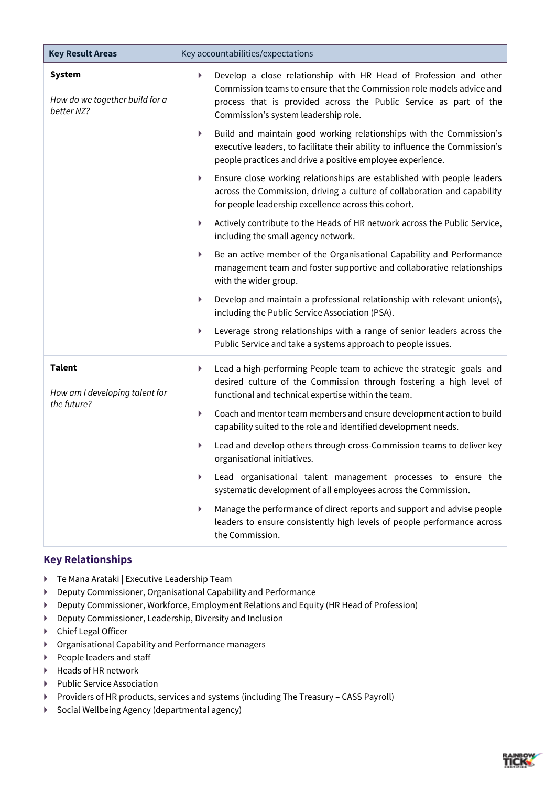| <b>Key Result Areas</b>                                       | Key accountabilities/expectations                                                                                                                                                                                                                            |  |
|---------------------------------------------------------------|--------------------------------------------------------------------------------------------------------------------------------------------------------------------------------------------------------------------------------------------------------------|--|
| <b>System</b><br>How do we together build for a<br>better NZ? | Develop a close relationship with HR Head of Profession and other<br>▶<br>Commission teams to ensure that the Commission role models advice and<br>process that is provided across the Public Service as part of the<br>Commission's system leadership role. |  |
|                                                               | Build and maintain good working relationships with the Commission's<br>Þ.<br>executive leaders, to facilitate their ability to influence the Commission's<br>people practices and drive a positive employee experience.                                      |  |
|                                                               | Ensure close working relationships are established with people leaders<br>Þ.<br>across the Commission, driving a culture of collaboration and capability<br>for people leadership excellence across this cohort.                                             |  |
|                                                               | Actively contribute to the Heads of HR network across the Public Service,<br>Þ.<br>including the small agency network.                                                                                                                                       |  |
|                                                               | Be an active member of the Organisational Capability and Performance<br>Þ.<br>management team and foster supportive and collaborative relationships<br>with the wider group.                                                                                 |  |
|                                                               | Develop and maintain a professional relationship with relevant union(s),<br>Þ.<br>including the Public Service Association (PSA).                                                                                                                            |  |
|                                                               | Leverage strong relationships with a range of senior leaders across the<br>▶<br>Public Service and take a systems approach to people issues.                                                                                                                 |  |
| <b>Talent</b><br>How am I developing talent for               | Lead a high-performing People team to achieve the strategic goals and<br>Þ.<br>desired culture of the Commission through fostering a high level of<br>functional and technical expertise within the team.                                                    |  |
| the future?                                                   | Coach and mentor team members and ensure development action to build<br>Þ.<br>capability suited to the role and identified development needs.                                                                                                                |  |
|                                                               | Lead and develop others through cross-Commission teams to deliver key<br>▶<br>organisational initiatives.                                                                                                                                                    |  |
|                                                               | Lead organisational talent management processes to ensure the<br>▶<br>systematic development of all employees across the Commission.                                                                                                                         |  |
|                                                               | Manage the performance of direct reports and support and advise people<br>▶<br>leaders to ensure consistently high levels of people performance across<br>the Commission.                                                                                    |  |

## **Key Relationships**

- ▶ Te Mana Arataki | Executive Leadership Team
- Deputy Commissioner, Organisational Capability and Performance
- Deputy Commissioner, Workforce, Employment Relations and Equity (HR Head of Profession)
- Deputy Commissioner, Leadership, Diversity and Inclusion
- Chief Legal Officer
- Organisational Capability and Performance managers
- ▶ People leaders and staff
- $\blacktriangleright$  Heads of HR network
- Public Service Association
- Providers of HR products, services and systems (including The Treasury CASS Payroll)
- ▶ Social Wellbeing Agency (departmental agency)

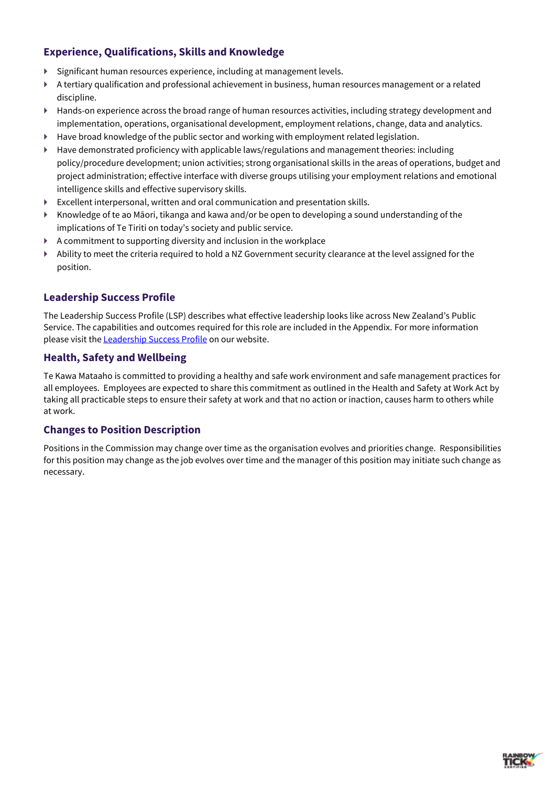# **Experience, Qualifications, Skills and Knowledge**

- Significant human resources experience, including at management levels.
- A tertiary qualification and professional achievement in business, human resources management or a related discipline.
- ▶ Hands-on experience across the broad range of human resources activities, including strategy development and implementation, operations, organisational development, employment relations, change, data and analytics.
- ▶ Have broad knowledge of the public sector and working with employment related legislation.
- $\blacktriangleright$  Have demonstrated proficiency with applicable laws/regulations and management theories: including policy/procedure development; union activities; strong organisational skills in the areas of operations, budget and project administration; effective interface with diverse groups utilising your employment relations and emotional intelligence skills and effective supervisory skills.
- Excellent interpersonal, written and oral communication and presentation skills.
- $\blacktriangleright$  Knowledge of te ao Māori, tikanga and kawa and/or be open to developing a sound understanding of the implications of Te Tiriti on today's society and public service.
- A commitment to supporting diversity and inclusion in the workplace
- Ability to meet the criteria required to hold a NZ Government security clearance at the level assigned for the position.

### **Leadership Success Profile**

The Leadership Success Profile (LSP) describes what effective leadership looks like across New Zealand's Public Service. The capabilities and outcomes required for this role are included in the Appendix. For more information please visit the **Leadership Success Profile** on our website.

#### **Health, Safety and Wellbeing**

Te Kawa Mataaho is committed to providing a healthy and safe work environment and safe management practices for all employees. Employees are expected to share this commitment as outlined in the Health and Safety at Work Act by taking all practicable steps to ensure their safety at work and that no action or inaction, causes harm to others while at work.

#### **Changes to Position Description**

Positions in the Commission may change over time as the organisation evolves and priorities change. Responsibilities for this position may change as the job evolves over time and the manager of this position may initiate such change as necessary.